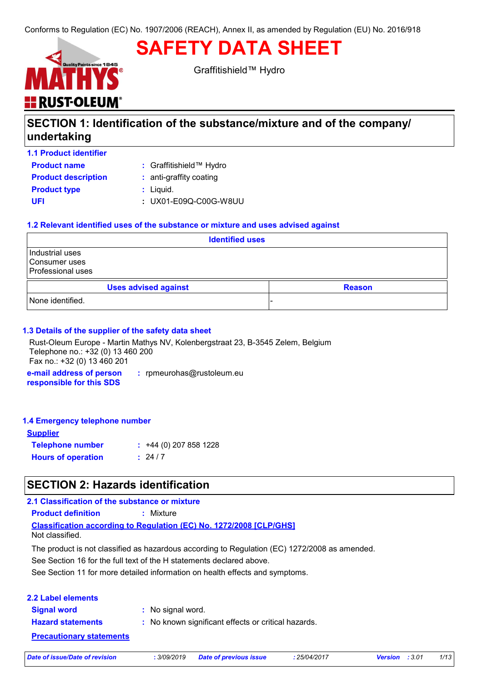# **SAFETY DATA SHEET**



Graffitishield™ Hydro

# **SECTION 1: Identification of the substance/mixture and of the company/ undertaking**

**1.1 Product identifier**

**Product name**

Graffitishield™ Hydro **:**

| <b>Product description</b> | : anti-graffity coating |
|----------------------------|-------------------------|
| <b>Product type</b>        | : Liquid.               |
| UFI                        | : UX01-E09Q-C00G-W8UU   |

### **1.2 Relevant identified uses of the substance or mixture and uses advised against**

| <b>Identified uses</b>                                |  |  |  |
|-------------------------------------------------------|--|--|--|
| Industrial uses<br>Consumer uses<br>Professional uses |  |  |  |
| <b>Uses advised against</b><br><b>Reason</b>          |  |  |  |
| None identified.                                      |  |  |  |

### **1.3 Details of the supplier of the safety data sheet**

**e-mail address of person :** rpmeurohas@rustoleum.eu Rust-Oleum Europe - Martin Mathys NV, Kolenbergstraat 23, B-3545 Zelem, Belgium Telephone no.: +32 (0) 13 460 200 Fax no.: +32 (0) 13 460 201

**responsible for this SDS**

### **1.4 Emergency telephone number**

| <b>Supplier</b>           |                         |
|---------------------------|-------------------------|
| <b>Telephone number</b>   | $: +44(0)$ 207 858 1228 |
| <b>Hours of operation</b> | : 24/7                  |

# **SECTION 2: Hazards identification**

### **2.1 Classification of the substance or mixture**

**Product definition :** Mixture

**Classification according to Regulation (EC) No. 1272/2008 [CLP/GHS]** Not classified.

The product is not classified as hazardous according to Regulation (EC) 1272/2008 as amended.

See Section 16 for the full text of the H statements declared above.

See Section 11 for more detailed information on health effects and symptoms.

| <b>2.2 Label elements</b>       |                                                     |
|---------------------------------|-----------------------------------------------------|
| <b>Signal word</b>              | : No signal word.                                   |
| <b>Hazard statements</b>        | : No known significant effects or critical hazards. |
| <b>Precautionary statements</b> |                                                     |

*Date of issue/Date of revision* **:** *3/09/2019 Date of previous issue : 25/04/2017 Version : 3.01 1/13*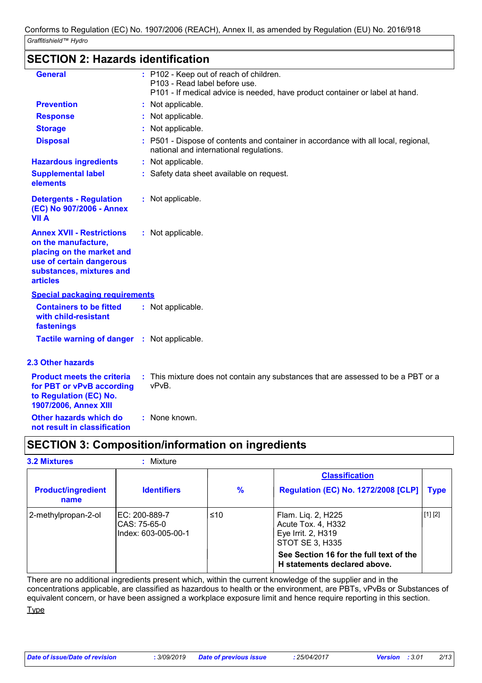# **SECTION 2: Hazards identification**

| <b>General</b>                                                                                                                                                  | : P102 - Keep out of reach of children.<br>P103 - Read label before use.<br>P101 - If medical advice is needed, have product container or label at hand. |
|-----------------------------------------------------------------------------------------------------------------------------------------------------------------|----------------------------------------------------------------------------------------------------------------------------------------------------------|
| <b>Prevention</b>                                                                                                                                               | : Not applicable.                                                                                                                                        |
| <b>Response</b>                                                                                                                                                 | : Not applicable.                                                                                                                                        |
| <b>Storage</b>                                                                                                                                                  | : Not applicable.                                                                                                                                        |
| <b>Disposal</b>                                                                                                                                                 | : P501 - Dispose of contents and container in accordance with all local, regional,<br>national and international regulations.                            |
| <b>Hazardous ingredients</b>                                                                                                                                    | : Not applicable.                                                                                                                                        |
| <b>Supplemental label</b><br>elements                                                                                                                           | : Safety data sheet available on request.                                                                                                                |
| <b>Detergents - Regulation</b><br>(EC) No 907/2006 - Annex<br><b>VII A</b>                                                                                      | : Not applicable.                                                                                                                                        |
| <b>Annex XVII - Restrictions</b><br>on the manufacture,<br>placing on the market and<br>use of certain dangerous<br>substances, mixtures and<br><b>articles</b> | : Not applicable.                                                                                                                                        |
| <b>Special packaging requirements</b>                                                                                                                           |                                                                                                                                                          |
| <b>Containers to be fitted</b><br>with child-resistant<br>fastenings                                                                                            | : Not applicable.                                                                                                                                        |
| <b>Tactile warning of danger : Not applicable.</b>                                                                                                              |                                                                                                                                                          |
| <b>2.3 Other hazards</b>                                                                                                                                        |                                                                                                                                                          |
| <b>Product meets the criteria</b><br>for PBT or vPvB according<br>to Regulation (EC) No.<br>1907/2006, Annex XIII                                               | : This mixture does not contain any substances that are assessed to be a PBT or a<br>vPvB.                                                               |
| Other hazards which do                                                                                                                                          | : None known.                                                                                                                                            |

**not result in classification**

# **SECTION 3: Composition/information on ingredients**

| Mixture                                               |     |                                                                                   |         |
|-------------------------------------------------------|-----|-----------------------------------------------------------------------------------|---------|
|                                                       |     | <b>Classification</b>                                                             |         |
| <b>Identifiers</b>                                    | %   | <b>Regulation (EC) No. 1272/2008 [CLP]</b>                                        | Type    |
| IEC: 200-889-7<br>CAS: 75-65-0<br>Index: 603-005-00-1 | ≤10 | Flam. Liq. 2, H225<br>Acute Tox. 4, H332<br>Eye Irrit. 2, H319<br>STOT SE 3, H335 | [1] [2] |
|                                                       |     | See Section 16 for the full text of the<br>H statements declared above.           |         |
|                                                       |     |                                                                                   |         |

There are no additional ingredients present which, within the current knowledge of the supplier and in the concentrations applicable, are classified as hazardous to health or the environment, are PBTs, vPvBs or Substances of equivalent concern, or have been assigned a workplace exposure limit and hence require reporting in this section.

**Type**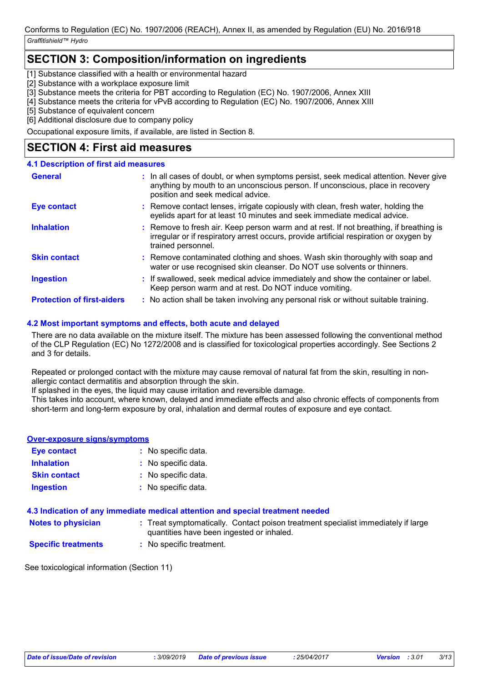# **SECTION 3: Composition/information on ingredients**

[1] Substance classified with a health or environmental hazard

[2] Substance with a workplace exposure limit

[3] Substance meets the criteria for PBT according to Regulation (EC) No. 1907/2006, Annex XIII

[4] Substance meets the criteria for vPvB according to Regulation (EC) No. 1907/2006, Annex XIII

[5] Substance of equivalent concern

[6] Additional disclosure due to company policy

Occupational exposure limits, if available, are listed in Section 8.

# **SECTION 4: First aid measures**

### **4.1 Description of first aid measures**

| General                           | : In all cases of doubt, or when symptoms persist, seek medical attention. Never give<br>anything by mouth to an unconscious person. If unconscious, place in recovery<br>position and seek medical advice. |
|-----------------------------------|-------------------------------------------------------------------------------------------------------------------------------------------------------------------------------------------------------------|
| <b>Eye contact</b>                | : Remove contact lenses, irrigate copiously with clean, fresh water, holding the<br>eyelids apart for at least 10 minutes and seek immediate medical advice.                                                |
| <b>Inhalation</b>                 | : Remove to fresh air. Keep person warm and at rest. If not breathing, if breathing is<br>irregular or if respiratory arrest occurs, provide artificial respiration or oxygen by<br>trained personnel.      |
| <b>Skin contact</b>               | : Remove contaminated clothing and shoes. Wash skin thoroughly with soap and<br>water or use recognised skin cleanser. Do NOT use solvents or thinners.                                                     |
| <b>Ingestion</b>                  | : If swallowed, seek medical advice immediately and show the container or label.<br>Keep person warm and at rest. Do NOT induce vomiting.                                                                   |
| <b>Protection of first-aiders</b> | : No action shall be taken involving any personal risk or without suitable training.                                                                                                                        |

### **4.2 Most important symptoms and effects, both acute and delayed**

There are no data available on the mixture itself. The mixture has been assessed following the conventional method of the CLP Regulation (EC) No 1272/2008 and is classified for toxicological properties accordingly. See Sections 2 and 3 for details.

Repeated or prolonged contact with the mixture may cause removal of natural fat from the skin, resulting in nonallergic contact dermatitis and absorption through the skin.

If splashed in the eyes, the liquid may cause irritation and reversible damage.

This takes into account, where known, delayed and immediate effects and also chronic effects of components from short-term and long-term exposure by oral, inhalation and dermal routes of exposure and eye contact.

### **Over-exposure signs/symptoms**

| <b>Eye contact</b>  | : No specific data. |
|---------------------|---------------------|
| <b>Inhalation</b>   | : No specific data. |
| <b>Skin contact</b> | : No specific data. |
| <b>Ingestion</b>    | : No specific data. |

### **4.3 Indication of any immediate medical attention and special treatment needed**

- **Notes to physician** : Treat symptomatically. Contact poison treatment specialist immediately if large in the symptomatically. quantities have been ingested or inhaled.
- **Specific treatments :** No specific treatment.

See toxicological information (Section 11)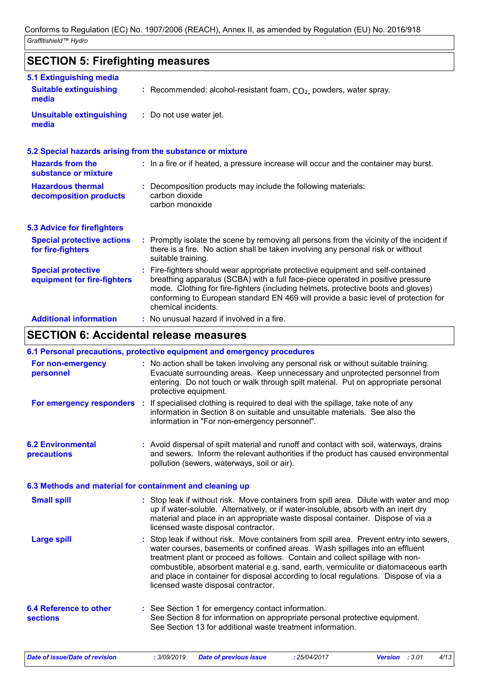#### **SECTION 5: Firefighting measures** Recommended: alcohol-resistant foam, CO₂, powders, water spray. **: :** Do not use water jet. **Hazardous thermal decomposition products Hazards from the substance or mixture Special protective equipment for fire-fighters 5.1 Extinguishing media :** In a fire or if heated, a pressure increase will occur and the container may burst. **:** Decomposition products may include the following materials: **:** Fire-fighters should wear appropriate protective equipment and self-contained **Suitable extinguishing media Unsuitable extinguishing media 5.2 Special hazards arising from the substance or mixture 5.3 Advice for firefighters Special protective actions for fire-fighters :** Promptly isolate the scene by removing all persons from the vicinity of the incident if there is a fire. No action shall be taken involving any personal risk or without suitable training. breathing apparatus (SCBA) with a full face-piece operated in positive pressure mode. Clothing for fire-fighters (including helmets, protective boots and gloves) conforming to European standard EN 469 will provide a basic level of protection for chemical incidents. carbon dioxide carbon monoxide

### **Additional information :** No unusual hazard if involved in a fire.

# **SECTION 6: Accidental release measures**

|                                                          | 6.1 Personal precautions, protective equipment and emergency procedures                                                                                                                                                                                                                                                                                                                                                                                                      |
|----------------------------------------------------------|------------------------------------------------------------------------------------------------------------------------------------------------------------------------------------------------------------------------------------------------------------------------------------------------------------------------------------------------------------------------------------------------------------------------------------------------------------------------------|
| For non-emergency<br>personnel                           | : No action shall be taken involving any personal risk or without suitable training.<br>Evacuate surrounding areas. Keep unnecessary and unprotected personnel from<br>entering. Do not touch or walk through spilt material. Put on appropriate personal<br>protective equipment.                                                                                                                                                                                           |
|                                                          | For emergency responders : If specialised clothing is required to deal with the spillage, take note of any<br>information in Section 8 on suitable and unsuitable materials. See also the<br>information in "For non-emergency personnel".                                                                                                                                                                                                                                   |
| <b>6.2 Environmental</b><br>precautions                  | : Avoid dispersal of spilt material and runoff and contact with soil, waterways, drains<br>and sewers. Inform the relevant authorities if the product has caused environmental<br>pollution (sewers, waterways, soil or air).                                                                                                                                                                                                                                                |
| 6.3 Methods and material for containment and cleaning up |                                                                                                                                                                                                                                                                                                                                                                                                                                                                              |
| <b>Small spill</b>                                       | : Stop leak if without risk. Move containers from spill area. Dilute with water and mop<br>up if water-soluble. Alternatively, or if water-insoluble, absorb with an inert dry<br>material and place in an appropriate waste disposal container. Dispose of via a<br>licensed waste disposal contractor.                                                                                                                                                                     |
| <b>Large spill</b>                                       | Stop leak if without risk. Move containers from spill area. Prevent entry into sewers,<br>water courses, basements or confined areas. Wash spillages into an effluent<br>treatment plant or proceed as follows. Contain and collect spillage with non-<br>combustible, absorbent material e.g. sand, earth, vermiculite or diatomaceous earth<br>and place in container for disposal according to local regulations. Dispose of via a<br>licensed waste disposal contractor. |
| <b>6.4 Reference to other</b><br><b>sections</b>         | : See Section 1 for emergency contact information.<br>See Section 8 for information on appropriate personal protective equipment.<br>See Section 13 for additional waste treatment information.                                                                                                                                                                                                                                                                              |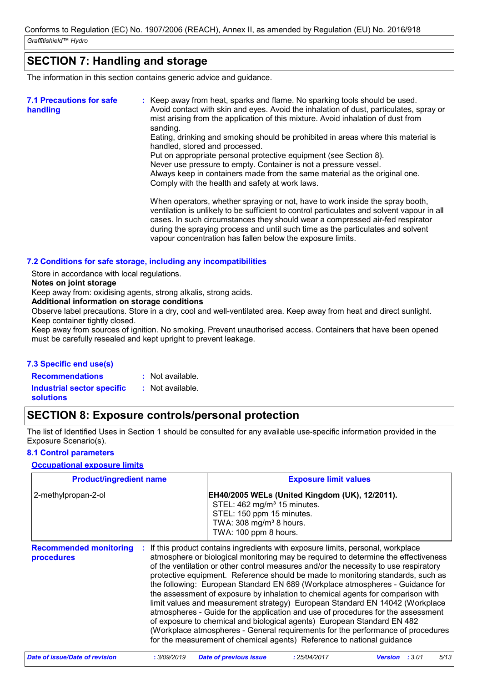# **SECTION 7: Handling and storage**

The information in this section contains generic advice and guidance.

| <b>7.1 Precautions for safe</b><br>handling | : Keep away from heat, sparks and flame. No sparking tools should be used.<br>Avoid contact with skin and eyes. Avoid the inhalation of dust, particulates, spray or<br>mist arising from the application of this mixture. Avoid inhalation of dust from<br>sanding.<br>Eating, drinking and smoking should be prohibited in areas where this material is<br>handled, stored and processed.<br>Put on appropriate personal protective equipment (see Section 8).<br>Never use pressure to empty. Container is not a pressure vessel.<br>Always keep in containers made from the same material as the original one.<br>Comply with the health and safety at work laws.<br>When operators, whether spraying or not, have to work inside the spray booth,<br>ventilation is unlikely to be sufficient to control particulates and solvent vapour in all<br>cases. In such circumstances they should wear a compressed air-fed respirator<br>during the spraying process and until such time as the particulates and solvent |
|---------------------------------------------|--------------------------------------------------------------------------------------------------------------------------------------------------------------------------------------------------------------------------------------------------------------------------------------------------------------------------------------------------------------------------------------------------------------------------------------------------------------------------------------------------------------------------------------------------------------------------------------------------------------------------------------------------------------------------------------------------------------------------------------------------------------------------------------------------------------------------------------------------------------------------------------------------------------------------------------------------------------------------------------------------------------------------|
|                                             | vapour concentration has fallen below the exposure limits.                                                                                                                                                                                                                                                                                                                                                                                                                                                                                                                                                                                                                                                                                                                                                                                                                                                                                                                                                               |

### **7.2 Conditions for safe storage, including any incompatibilities**

Store in accordance with local regulations.

**Notes on joint storage**

Keep away from: oxidising agents, strong alkalis, strong acids.

**Additional information on storage conditions**

Observe label precautions. Store in a dry, cool and well-ventilated area. Keep away from heat and direct sunlight. Keep container tightly closed.

Keep away from sources of ignition. No smoking. Prevent unauthorised access. Containers that have been opened must be carefully resealed and kept upright to prevent leakage.

### **7.3 Specific end use(s)**

**Recommendations : Industrial sector specific : solutions** : Not available. : Not available.

# **SECTION 8: Exposure controls/personal protection**

The list of Identified Uses in Section 1 should be consulted for any available use-specific information provided in the Exposure Scenario(s).

### **8.1 Control parameters**

### **Occupational exposure limits**

| <b>Product/ingredient name</b>              | <b>Exposure limit values</b>                                                                                                                                                                                                                                                                                                                                                                                                                                                                                                                                                                                                                                                                                                                                                                                                                                                                                                    |  |
|---------------------------------------------|---------------------------------------------------------------------------------------------------------------------------------------------------------------------------------------------------------------------------------------------------------------------------------------------------------------------------------------------------------------------------------------------------------------------------------------------------------------------------------------------------------------------------------------------------------------------------------------------------------------------------------------------------------------------------------------------------------------------------------------------------------------------------------------------------------------------------------------------------------------------------------------------------------------------------------|--|
| 2-methylpropan-2-ol                         | EH40/2005 WELs (United Kingdom (UK), 12/2011).<br>STEL: 462 mg/m <sup>3</sup> 15 minutes.<br>STEL: 150 ppm 15 minutes.<br>TWA: 308 mg/m <sup>3</sup> 8 hours.<br>TWA: 100 ppm 8 hours.                                                                                                                                                                                                                                                                                                                                                                                                                                                                                                                                                                                                                                                                                                                                          |  |
| <b>Recommended monitoring</b><br>procedures | If this product contains ingredients with exposure limits, personal, workplace<br>atmosphere or biological monitoring may be required to determine the effectiveness<br>of the ventilation or other control measures and/or the necessity to use respiratory<br>protective equipment. Reference should be made to monitoring standards, such as<br>the following: European Standard EN 689 (Workplace atmospheres - Guidance for<br>the assessment of exposure by inhalation to chemical agents for comparison with<br>limit values and measurement strategy) European Standard EN 14042 (Workplace<br>atmospheres - Guide for the application and use of procedures for the assessment<br>of exposure to chemical and biological agents) European Standard EN 482<br>(Workplace atmospheres - General requirements for the performance of procedures<br>for the measurement of chemical agents) Reference to national guidance |  |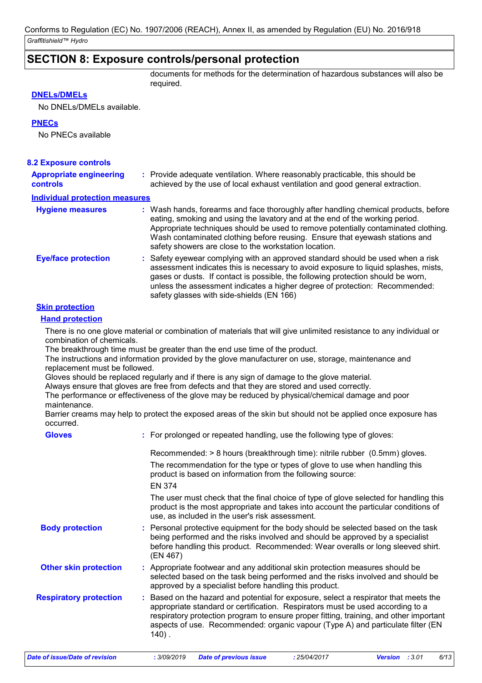# **SECTION 8: Exposure controls/personal protection**

documents for methods for the determination of hazardous substances will also be required.

### **DNELs/DMELs**

No DNELs/DMELs available.

### **PNECs**

No PNECs available

| <b>8.2 Exposure controls</b>                      |                                                                                                                                                                                                                                                                                                                                                                                                   |
|---------------------------------------------------|---------------------------------------------------------------------------------------------------------------------------------------------------------------------------------------------------------------------------------------------------------------------------------------------------------------------------------------------------------------------------------------------------|
| <b>Appropriate engineering</b><br><b>controls</b> | : Provide adequate ventilation. Where reasonably practicable, this should be<br>achieved by the use of local exhaust ventilation and good general extraction.                                                                                                                                                                                                                                     |
| <b>Individual protection measures</b>             |                                                                                                                                                                                                                                                                                                                                                                                                   |
| <b>Hygiene measures</b>                           | : Wash hands, forearms and face thoroughly after handling chemical products, before<br>eating, smoking and using the lavatory and at the end of the working period.<br>Appropriate techniques should be used to remove potentially contaminated clothing.<br>Wash contaminated clothing before reusing. Ensure that eyewash stations and<br>safety showers are close to the workstation location. |
| <b>Eye/face protection</b>                        | : Safety eyewear complying with an approved standard should be used when a risk<br>assessment indicates this is necessary to avoid exposure to liquid splashes, mists,<br>gases or dusts. If contact is possible, the following protection should be worn,<br>unless the assessment indicates a higher degree of protection: Recommended:<br>safety glasses with side-shields (EN 166)            |

### **Skin protection**

### **Hand protection**

There is no one glove material or combination of materials that will give unlimited resistance to any individual or combination of chemicals.

The breakthrough time must be greater than the end use time of the product.

The instructions and information provided by the glove manufacturer on use, storage, maintenance and replacement must be followed.

Gloves should be replaced regularly and if there is any sign of damage to the glove material.

Always ensure that gloves are free from defects and that they are stored and used correctly.

The performance or effectiveness of the glove may be reduced by physical/chemical damage and poor maintenance.

Barrier creams may help to protect the exposed areas of the skin but should not be applied once exposure has occurred.

| : For prolonged or repeated handling, use the following type of gloves:                                                                                                                                                                                                                                                                                      |
|--------------------------------------------------------------------------------------------------------------------------------------------------------------------------------------------------------------------------------------------------------------------------------------------------------------------------------------------------------------|
| Recommended: > 8 hours (breakthrough time): nitrile rubber (0.5mm) gloves.<br>The recommendation for the type or types of glove to use when handling this<br>product is based on information from the following source:<br><b>EN 374</b>                                                                                                                     |
| The user must check that the final choice of type of glove selected for handling this<br>product is the most appropriate and takes into account the particular conditions of<br>use, as included in the user's risk assessment.                                                                                                                              |
| : Personal protective equipment for the body should be selected based on the task<br>being performed and the risks involved and should be approved by a specialist<br>before handling this product. Recommended: Wear overalls or long sleeved shirt.<br>(EN 467)                                                                                            |
| : Appropriate footwear and any additional skin protection measures should be<br>selected based on the task being performed and the risks involved and should be<br>approved by a specialist before handling this product.                                                                                                                                    |
| : Based on the hazard and potential for exposure, select a respirator that meets the<br>appropriate standard or certification. Respirators must be used according to a<br>respiratory protection program to ensure proper fitting, training, and other important<br>aspects of use. Recommended: organic vapour (Type A) and particulate filter (EN<br>140). |
|                                                                                                                                                                                                                                                                                                                                                              |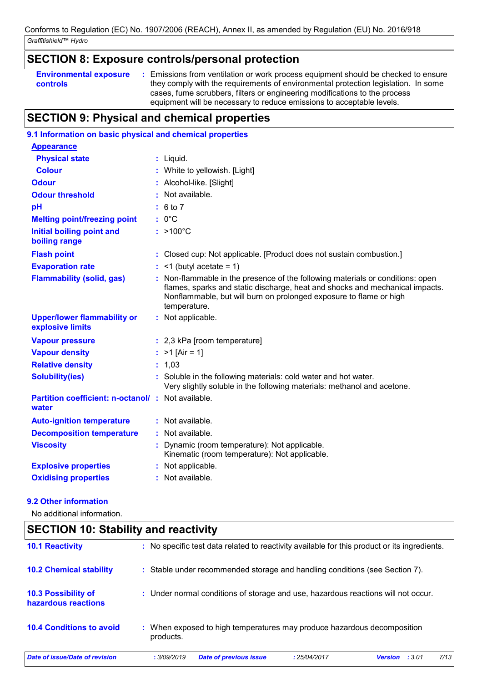# **SECTION 8: Exposure controls/personal protection**

| <b>Environmental exposure</b> | Emissions from ventilation or work process equipment should be checked to ensure   |
|-------------------------------|------------------------------------------------------------------------------------|
| controls                      | they comply with the requirements of environmental protection legislation. In some |
|                               | cases, fume scrubbers, filters or engineering modifications to the process         |
|                               | equipment will be necessary to reduce emissions to acceptable levels.              |

# **SECTION 9: Physical and chemical properties**

| 9.1 Information on basic physical and chemical properties   |                                                                                                                                                                                                                                                    |
|-------------------------------------------------------------|----------------------------------------------------------------------------------------------------------------------------------------------------------------------------------------------------------------------------------------------------|
| <b>Appearance</b>                                           |                                                                                                                                                                                                                                                    |
| <b>Physical state</b>                                       | $:$ Liquid.                                                                                                                                                                                                                                        |
| <b>Colour</b>                                               | White to yellowish. [Light]                                                                                                                                                                                                                        |
| <b>Odour</b>                                                | Alcohol-like. [Slight]                                                                                                                                                                                                                             |
| <b>Odour threshold</b>                                      | Not available.                                                                                                                                                                                                                                     |
| pH                                                          | : 6 to 7                                                                                                                                                                                                                                           |
| <b>Melting point/freezing point</b>                         | $: 0^{\circ}C$                                                                                                                                                                                                                                     |
| <b>Initial boiling point and</b><br>boiling range           | $: >100^{\circ}$ C                                                                                                                                                                                                                                 |
| <b>Flash point</b>                                          | : Closed cup: Not applicable. [Product does not sustain combustion.]                                                                                                                                                                               |
| <b>Evaporation rate</b>                                     | $:$ <1 (butyl acetate = 1)                                                                                                                                                                                                                         |
| <b>Flammability (solid, gas)</b>                            | Non-flammable in the presence of the following materials or conditions: open<br>flames, sparks and static discharge, heat and shocks and mechanical impacts.<br>Nonflammable, but will burn on prolonged exposure to flame or high<br>temperature. |
| <b>Upper/lower flammability or</b><br>explosive limits      | : Not applicable.                                                                                                                                                                                                                                  |
| <b>Vapour pressure</b>                                      | : 2,3 kPa [room temperature]                                                                                                                                                                                                                       |
| <b>Vapour density</b>                                       | : $>1$ [Air = 1]                                                                                                                                                                                                                                   |
| <b>Relative density</b>                                     | : 1,03                                                                                                                                                                                                                                             |
| <b>Solubility(ies)</b>                                      | : Soluble in the following materials: cold water and hot water.<br>Very slightly soluble in the following materials: methanol and acetone.                                                                                                         |
| Partition coefficient: n-octanol/ : Not available.<br>water |                                                                                                                                                                                                                                                    |
| <b>Auto-ignition temperature</b>                            | : Not available.                                                                                                                                                                                                                                   |
| <b>Decomposition temperature</b>                            | : Not available.                                                                                                                                                                                                                                   |
| <b>Viscosity</b>                                            | Dynamic (room temperature): Not applicable.<br>Kinematic (room temperature): Not applicable.                                                                                                                                                       |
| <b>Explosive properties</b>                                 | : Not applicable.                                                                                                                                                                                                                                  |
| <b>Oxidising properties</b>                                 | : Not available.                                                                                                                                                                                                                                   |

### **9.2 Other information**

No additional information.

| <b>10.1 Reactivity</b>                            |             | : No specific test data related to reactivity available for this product or its ingredients. |              |                |        |      |
|---------------------------------------------------|-------------|----------------------------------------------------------------------------------------------|--------------|----------------|--------|------|
| <b>10.2 Chemical stability</b>                    |             | : Stable under recommended storage and handling conditions (see Section 7).                  |              |                |        |      |
| <b>10.3 Possibility of</b><br>hazardous reactions |             | : Under normal conditions of storage and use, hazardous reactions will not occur.            |              |                |        |      |
| <b>10.4 Conditions to avoid</b>                   | products.   | When exposed to high temperatures may produce hazardous decomposition                        |              |                |        |      |
| Date of issue/Date of revision                    | : 3/09/2019 | <b>Date of previous issue</b>                                                                | : 25/04/2017 | <b>Version</b> | : 3.01 | 7/13 |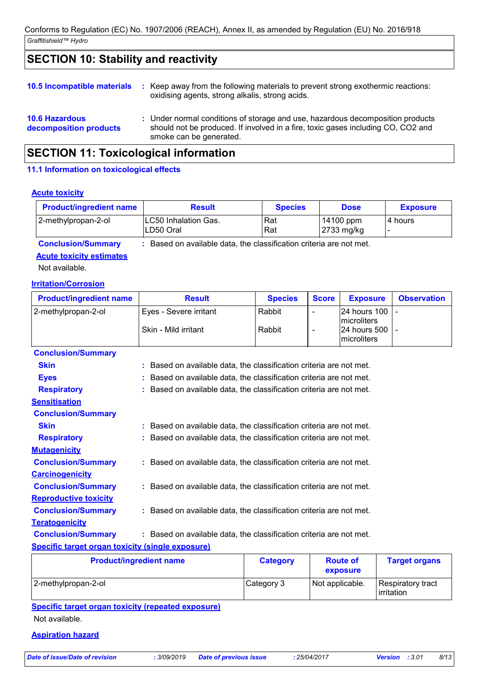# **SECTION 10: Stability and reactivity**

| <b>10.6 Hazardous</b><br>decomposition products | : Under normal conditions of storage and use, hazardous decomposition products<br>should not be produced. If involved in a fire, toxic gases including CO, CO2 and<br>smoke can be generated. |
|-------------------------------------------------|-----------------------------------------------------------------------------------------------------------------------------------------------------------------------------------------------|
| <b>10.5 Incompatible materials</b>              | : Keep away from the following materials to prevent strong exothermic reactions:<br>oxidising agents, strong alkalis, strong acids.                                                           |

# **SECTION 11: Toxicological information**

### **11.1 Information on toxicological effects**

### **Acute toxicity**

| <b>Product/ingredient name</b> | <b>Result</b>                                                       | <b>Species</b> | <b>Dose</b>             | <b>Exposure</b> |
|--------------------------------|---------------------------------------------------------------------|----------------|-------------------------|-----------------|
| 2-methylpropan-2-ol            | <b>LC50 Inhalation Gas.</b><br>ILD50 Oral                           | Rat<br>Rat     | 14100 ppm<br>2733 mg/kg | l 4 hours       |
| <b>Conclusion/Summary</b>      | : Based on available data, the classification criteria are not met. |                |                         |                 |

### **Acute toxicity estimates**

Not available.

### **Irritation/Corrosion**

| <b>Product/ingredient name</b>                                                                                 | <b>Result</b>                                                       | <b>Species</b> | <b>Score</b> | <b>Exposure</b>             | <b>Observation</b> |
|----------------------------------------------------------------------------------------------------------------|---------------------------------------------------------------------|----------------|--------------|-----------------------------|--------------------|
| 2-methylpropan-2-ol                                                                                            | Eyes - Severe irritant                                              | Rabbit         |              | 24 hours 100                |                    |
|                                                                                                                |                                                                     |                |              | microliters                 |                    |
|                                                                                                                | Skin - Mild irritant                                                | Rabbit         |              | 24 hours 500<br>microliters |                    |
|                                                                                                                |                                                                     |                |              |                             |                    |
| <b>Conclusion/Summary</b>                                                                                      |                                                                     |                |              |                             |                    |
| <b>Skin</b>                                                                                                    | : Based on available data, the classification criteria are not met. |                |              |                             |                    |
| <b>Eyes</b>                                                                                                    | : Based on available data, the classification criteria are not met. |                |              |                             |                    |
| <b>Respiratory</b>                                                                                             | : Based on available data, the classification criteria are not met. |                |              |                             |                    |
| <b>Sensitisation</b>                                                                                           |                                                                     |                |              |                             |                    |
| <b>Conclusion/Summary</b>                                                                                      |                                                                     |                |              |                             |                    |
| <b>Skin</b>                                                                                                    | : Based on available data, the classification criteria are not met. |                |              |                             |                    |
| <b>Respiratory</b>                                                                                             | : Based on available data, the classification criteria are not met. |                |              |                             |                    |
| <b>Mutagenicity</b>                                                                                            |                                                                     |                |              |                             |                    |
| <b>Conclusion/Summary</b>                                                                                      | : Based on available data, the classification criteria are not met. |                |              |                             |                    |
| <b>Carcinogenicity</b>                                                                                         |                                                                     |                |              |                             |                    |
| <b>Conclusion/Summary</b>                                                                                      | : Based on available data, the classification criteria are not met. |                |              |                             |                    |
| <b>Reproductive toxicity</b>                                                                                   |                                                                     |                |              |                             |                    |
| <b>Conclusion/Summary</b>                                                                                      | : Based on available data, the classification criteria are not met. |                |              |                             |                    |
| <b>Teratogenicity</b>                                                                                          |                                                                     |                |              |                             |                    |
| <b>Conclusion/Summary</b>                                                                                      | : Based on available data, the classification criteria are not met. |                |              |                             |                    |
| a da 1990 de Marco de Alexandre de Marco de Marco de Marco de Marco de Marco de Marco de Marco de Marco de Mar |                                                                     |                |              |                             |                    |

### **Specific target organ toxicity (single exposure)**

| <b>Product/ingredient name</b> | <b>Category</b> | <b>Route of</b><br>exposure | <b>Target organs</b>            |
|--------------------------------|-----------------|-----------------------------|---------------------------------|
| 2-methylpropan-2-ol            | Category 3      | Not applicable.             | Respiratory tract<br>irritation |

**Specific target organ toxicity (repeated exposure)** Not available.

### **Aspiration hazard**

*Date of issue/Date of revision* **:** *3/09/2019 Date of previous issue : 25/04/2017 Version : 3.01 8/13*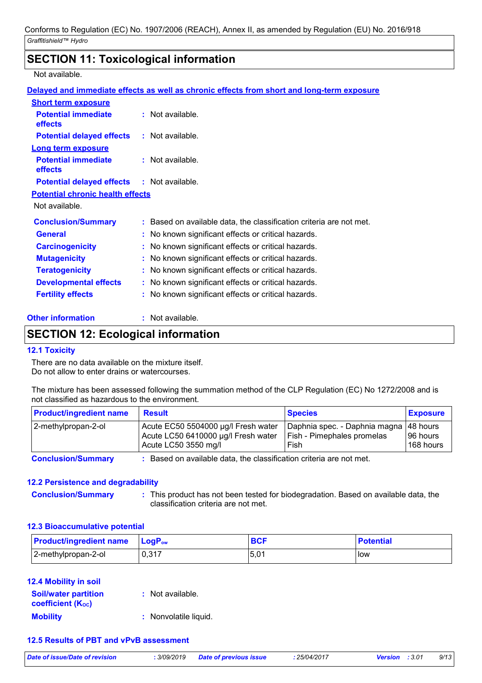# **SECTION 11: Toxicological information**

### Not available.

|                                                   | Delayed and immediate effects as well as chronic effects from short and long-term exposure |
|---------------------------------------------------|--------------------------------------------------------------------------------------------|
| <b>Short term exposure</b>                        |                                                                                            |
| <b>Potential immediate</b><br>effects             | $:$ Not available.                                                                         |
| <b>Potential delayed effects</b>                  | : Not available.                                                                           |
| <b>Long term exposure</b>                         |                                                                                            |
| <b>Potential immediate</b><br><b>effects</b>      | $:$ Not available.                                                                         |
| <b>Potential delayed effects : Not available.</b> |                                                                                            |
| <b>Potential chronic health effects</b>           |                                                                                            |
| Not available.                                    |                                                                                            |
| <b>Conclusion/Summary</b>                         | : Based on available data, the classification criteria are not met.                        |
| <b>General</b>                                    | : No known significant effects or critical hazards.                                        |
| <b>Carcinogenicity</b>                            | : No known significant effects or critical hazards.                                        |
| <b>Mutagenicity</b>                               | : No known significant effects or critical hazards.                                        |
| <b>Teratogenicity</b>                             | No known significant effects or critical hazards.<br>t.                                    |
| <b>Developmental effects</b>                      | : No known significant effects or critical hazards.                                        |
| <b>Fertility effects</b>                          | : No known significant effects or critical hazards.                                        |

### **Other information :**

: Not available.

# **SECTION 12: Ecological information**

### **12.1 Toxicity**

There are no data available on the mixture itself. Do not allow to enter drains or watercourses.

The mixture has been assessed following the summation method of the CLP Regulation (EC) No 1272/2008 and is not classified as hazardous to the environment.

| <b>Product/ingredient name</b> | <b>Result</b>                                                                                      | <b>Species</b>                                                                | <b>Exposure</b>        |
|--------------------------------|----------------------------------------------------------------------------------------------------|-------------------------------------------------------------------------------|------------------------|
| 2-methylpropan-2-ol            | Acute EC50 5504000 µg/l Fresh water<br>Acute LC50 6410000 µg/l Fresh water<br>Acute LC50 3550 mg/l | Daphnia spec. - Daphnia magna  48 hours<br>Fish - Pimephales promelas<br>Fish | 196 hours<br>168 hours |
| Association in 10 concerns and | . . Den ed en enellelde detaille elementrent unten en en en toent                                  |                                                                               |                        |

**Conclusion/Summary :** Based on available data, the classification criteria are not met.

### **12.2 Persistence and degradability**

**Conclusion/Summary :** This product has not been tested for biodegradation. Based on available data, the classification criteria are not met.

### **12.3 Bioaccumulative potential**

| <b>Product/ingredient name</b> | <b>LogP</b> <sub>ow</sub> | <b>BCF</b> | <b>Potential</b> |
|--------------------------------|---------------------------|------------|------------------|
| 2-methylpropan-2-ol            | 0,317                     | .5.01      | l low            |

### **12.4 Mobility in soil**

| <b>Soil/water partition</b><br><b>coefficient (Koc)</b> | : Not available.      |
|---------------------------------------------------------|-----------------------|
| <b>Mobility</b>                                         | : Nonvolatile liquid. |

### **12.5 Results of PBT and vPvB assessment**

|  | Date of issue/Date of revis |  |
|--|-----------------------------|--|
|--|-----------------------------|--|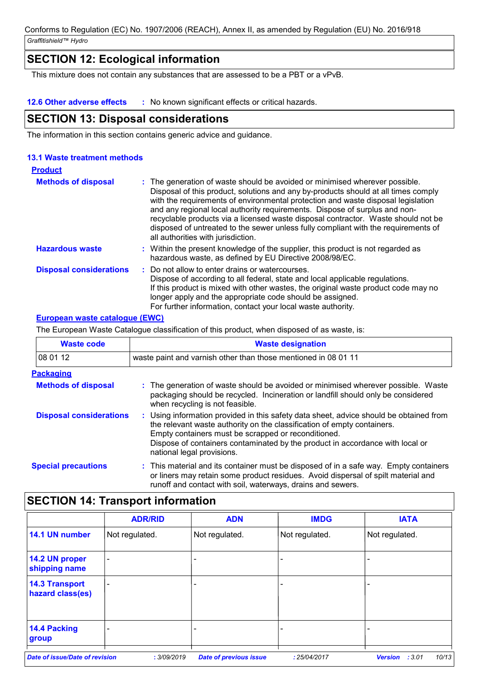# **SECTION 12: Ecological information**

This mixture does not contain any substances that are assessed to be a PBT or a vPvB.

**12.6 Other adverse effects :** No known significant effects or critical hazards.

# **SECTION 13: Disposal considerations**

The information in this section contains generic advice and guidance.

### **13.1 Waste treatment methods**

| <b>Product</b>                 |                                                                                                                                                                                                                                                                                                                                                                                                                                                                                                                                                      |
|--------------------------------|------------------------------------------------------------------------------------------------------------------------------------------------------------------------------------------------------------------------------------------------------------------------------------------------------------------------------------------------------------------------------------------------------------------------------------------------------------------------------------------------------------------------------------------------------|
| <b>Methods of disposal</b>     | : The generation of waste should be avoided or minimised wherever possible.<br>Disposal of this product, solutions and any by-products should at all times comply<br>with the requirements of environmental protection and waste disposal legislation<br>and any regional local authority requirements. Dispose of surplus and non-<br>recyclable products via a licensed waste disposal contractor. Waste should not be<br>disposed of untreated to the sewer unless fully compliant with the requirements of<br>all authorities with jurisdiction. |
| <b>Hazardous waste</b>         | : Within the present knowledge of the supplier, this product is not regarded as<br>hazardous waste, as defined by EU Directive 2008/98/EC.                                                                                                                                                                                                                                                                                                                                                                                                           |
| <b>Disposal considerations</b> | : Do not allow to enter drains or watercourses.<br>Dispose of according to all federal, state and local applicable regulations.<br>If this product is mixed with other wastes, the original waste product code may no<br>longer apply and the appropriate code should be assigned.<br>For further information, contact your local waste authority.                                                                                                                                                                                                   |

### **European waste catalogue (EWC)**

The European Waste Catalogue classification of this product, when disposed of as waste, is:

| <b>Waste code</b>              | <b>Waste designation</b>                                                                                                                                                                                                                                                                                                                |  |  |  |
|--------------------------------|-----------------------------------------------------------------------------------------------------------------------------------------------------------------------------------------------------------------------------------------------------------------------------------------------------------------------------------------|--|--|--|
| 08 01 12                       | waste paint and varnish other than those mentioned in 08 01 11                                                                                                                                                                                                                                                                          |  |  |  |
| <b>Packaging</b>               |                                                                                                                                                                                                                                                                                                                                         |  |  |  |
| <b>Methods of disposal</b>     | : The generation of waste should be avoided or minimised wherever possible. Waste<br>packaging should be recycled. Incineration or landfill should only be considered<br>when recycling is not feasible.                                                                                                                                |  |  |  |
| <b>Disposal considerations</b> | : Using information provided in this safety data sheet, advice should be obtained from<br>the relevant waste authority on the classification of empty containers.<br>Empty containers must be scrapped or reconditioned.<br>Dispose of containers contaminated by the product in accordance with local or<br>national legal provisions. |  |  |  |
| <b>Special precautions</b>     | : This material and its container must be disposed of in a safe way. Empty containers<br>or liners may retain some product residues. Avoid dispersal of spilt material and<br>runoff and contact with soil, waterways, drains and sewers.                                                                                               |  |  |  |

# **SECTION 14: Transport information**

|                                           | <b>ADR/RID</b>           | <b>ADN</b>                    | <b>IMDG</b>    | <b>IATA</b>                      |
|-------------------------------------------|--------------------------|-------------------------------|----------------|----------------------------------|
| 14.1 UN number                            | Not regulated.           | Not regulated.                | Not regulated. | Not regulated.                   |
| 14.2 UN proper<br>shipping name           | $\overline{\phantom{0}}$ |                               |                |                                  |
| <b>14.3 Transport</b><br>hazard class(es) | $\qquad \qquad$          |                               |                |                                  |
| 14.4 Packing<br>group                     |                          |                               |                |                                  |
| <b>Date of issue/Date of revision</b>     | : 3/09/2019              | <b>Date of previous issue</b> | : 25/04/2017   | 10/13<br>:3.01<br><b>Version</b> |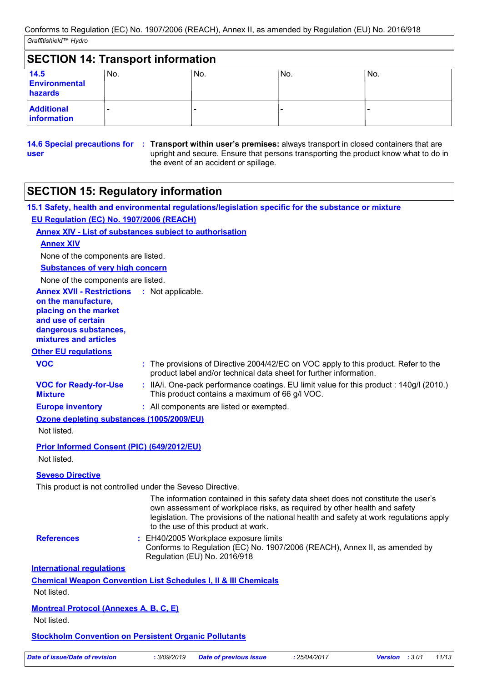| <b>SECTION 14: Transport information</b> |     |     |     |     |
|------------------------------------------|-----|-----|-----|-----|
| 14.5<br>Environmental<br>hazards         | No. | No. | No. | No. |
| <b>Additional</b><br>information         |     |     |     |     |

**user**

**14.6 Special precautions for : Transport within user's premises: always transport in closed containers that are** upright and secure. Ensure that persons transporting the product know what to do in the event of an accident or spillage.

# **SECTION 15: Regulatory information**

|                                                                                                                                                                            | 15.1 Safety, health and environmental regulations/legislation specific for the substance or mixture                                                                                                                                                                                               |
|----------------------------------------------------------------------------------------------------------------------------------------------------------------------------|---------------------------------------------------------------------------------------------------------------------------------------------------------------------------------------------------------------------------------------------------------------------------------------------------|
| EU Regulation (EC) No. 1907/2006 (REACH)                                                                                                                                   |                                                                                                                                                                                                                                                                                                   |
|                                                                                                                                                                            | <b>Annex XIV - List of substances subject to authorisation</b>                                                                                                                                                                                                                                    |
| <b>Annex XIV</b>                                                                                                                                                           |                                                                                                                                                                                                                                                                                                   |
| None of the components are listed.                                                                                                                                         |                                                                                                                                                                                                                                                                                                   |
| <b>Substances of very high concern</b>                                                                                                                                     |                                                                                                                                                                                                                                                                                                   |
| None of the components are listed.                                                                                                                                         |                                                                                                                                                                                                                                                                                                   |
| <b>Annex XVII - Restrictions : Not applicable.</b><br>on the manufacture,<br>placing on the market<br>and use of certain<br>dangerous substances,<br>mixtures and articles |                                                                                                                                                                                                                                                                                                   |
| <b>Other EU regulations</b>                                                                                                                                                |                                                                                                                                                                                                                                                                                                   |
| <b>VOC</b>                                                                                                                                                                 | : The provisions of Directive 2004/42/EC on VOC apply to this product. Refer to the<br>product label and/or technical data sheet for further information.                                                                                                                                         |
| <b>VOC for Ready-for-Use</b><br><b>Mixture</b>                                                                                                                             | : IIA/i. One-pack performance coatings. EU limit value for this product : 140g/l (2010.)<br>This product contains a maximum of 66 g/l VOC.                                                                                                                                                        |
| <b>Europe inventory</b>                                                                                                                                                    | : All components are listed or exempted.                                                                                                                                                                                                                                                          |
| Ozone depleting substances (1005/2009/EU)<br>Not listed.                                                                                                                   |                                                                                                                                                                                                                                                                                                   |
| <b>Prior Informed Consent (PIC) (649/2012/EU)</b><br>Not listed.                                                                                                           |                                                                                                                                                                                                                                                                                                   |
| <b>Seveso Directive</b>                                                                                                                                                    |                                                                                                                                                                                                                                                                                                   |
|                                                                                                                                                                            | This product is not controlled under the Seveso Directive.                                                                                                                                                                                                                                        |
|                                                                                                                                                                            | The information contained in this safety data sheet does not constitute the user's<br>own assessment of workplace risks, as required by other health and safety<br>legislation. The provisions of the national health and safety at work regulations apply<br>to the use of this product at work. |
| <b>References</b>                                                                                                                                                          | : EH40/2005 Workplace exposure limits<br>Conforms to Regulation (EC) No. 1907/2006 (REACH), Annex II, as amended by<br>Regulation (EU) No. 2016/918                                                                                                                                               |
| <b>International regulations</b>                                                                                                                                           |                                                                                                                                                                                                                                                                                                   |
|                                                                                                                                                                            | <b>Chemical Weapon Convention List Schedules I, II &amp; III Chemicals</b>                                                                                                                                                                                                                        |
| Not listed.                                                                                                                                                                |                                                                                                                                                                                                                                                                                                   |
| <b>Montreal Protocol (Annexes A, B, C, E)</b><br>Not listed.                                                                                                               |                                                                                                                                                                                                                                                                                                   |
|                                                                                                                                                                            |                                                                                                                                                                                                                                                                                                   |
|                                                                                                                                                                            | <b>Stockholm Convention on Persistent Organic Pollutants</b>                                                                                                                                                                                                                                      |

*Date of issue/Date of revision* **:** *3/09/2019 Date of previous issue : 25/04/2017 Version : 3.01 11/13*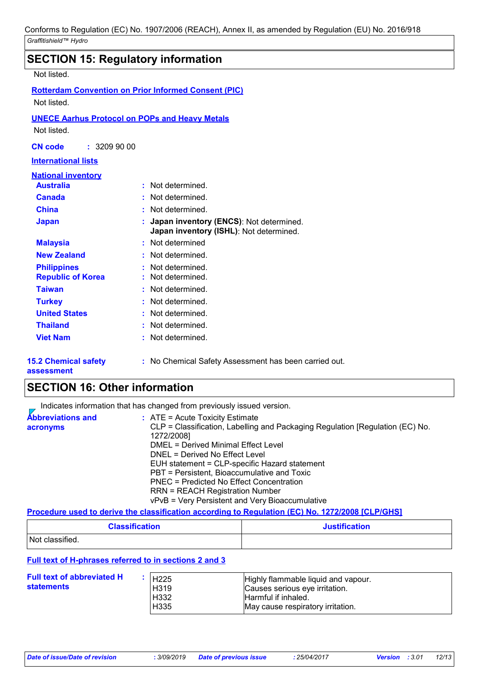| <b>SECTION 15: Regulatory information</b> |                                                                                         |
|-------------------------------------------|-----------------------------------------------------------------------------------------|
| Not listed.                               |                                                                                         |
|                                           | <b>Rotterdam Convention on Prior Informed Consent (PIC)</b>                             |
| Not listed.                               |                                                                                         |
|                                           | <b>UNECE Aarhus Protocol on POPs and Heavy Metals</b>                                   |
| Not listed.                               |                                                                                         |
| <b>CN</b> code<br>: 32099000              |                                                                                         |
| <b>International lists</b>                |                                                                                         |
| <b>National inventory</b>                 |                                                                                         |
| <b>Australia</b>                          | Not determined.                                                                         |
| <b>Canada</b>                             | Not determined.                                                                         |
| <b>China</b>                              | Not determined.<br>÷                                                                    |
| <b>Japan</b>                              | Japan inventory (ENCS): Not determined.<br>t<br>Japan inventory (ISHL): Not determined. |
| <b>Malaysia</b>                           | Not determined<br>ŧ.                                                                    |
| <b>New Zealand</b>                        | Not determined.<br>t.                                                                   |
| <b>Philippines</b>                        | Not determined.                                                                         |
| <b>Republic of Korea</b>                  | Not determined.                                                                         |
| <b>Taiwan</b>                             | Not determined.<br>t.                                                                   |
| <b>Turkey</b>                             | Not determined.<br>÷                                                                    |
| <b>United States</b>                      | Not determined.                                                                         |
| <b>Thailand</b>                           | Not determined.                                                                         |
| <b>Viet Nam</b>                           | Not determined.                                                                         |
| <b>15.2 Chemical safety</b>               | : No Chemical Safety Assessment has been carried out.                                   |

**assessment**

# **SECTION 16: Other information**

Indicates information that has changed from previously issued version.

| <b>Abbreviations and</b> | $\therefore$ ATE = Acute Toxicity Estimate                                    |
|--------------------------|-------------------------------------------------------------------------------|
| acronyms                 | CLP = Classification, Labelling and Packaging Regulation [Regulation (EC) No. |
|                          | 1272/2008]                                                                    |
|                          | DMEL = Derived Minimal Effect Level                                           |
|                          | DNEL = Derived No Effect Level                                                |
|                          | EUH statement = CLP-specific Hazard statement                                 |
|                          | PBT = Persistent, Bioaccumulative and Toxic                                   |
|                          | PNEC = Predicted No Effect Concentration                                      |
|                          | <b>RRN = REACH Registration Number</b>                                        |
|                          | vPvB = Very Persistent and Very Bioaccumulative                               |

### **Procedure used to derive the classification according to Regulation (EC) No. 1272/2008 [CLP/GHS]**

| <b>Classification</b> | <b>Justification</b> |
|-----------------------|----------------------|
| Not classified.       |                      |

### **Full text of H-phrases referred to in sections 2 and 3**

| <b>Full text of abbreviated H</b><br><b>statements</b> | H225<br>H <sub>319</sub><br>H332 | Highly flammable liquid and vapour.<br>Causes serious eye irritation.<br>Harmful if inhaled. |
|--------------------------------------------------------|----------------------------------|----------------------------------------------------------------------------------------------|
|                                                        |                                  |                                                                                              |
|                                                        | H <sub>335</sub>                 | May cause respiratory irritation.                                                            |